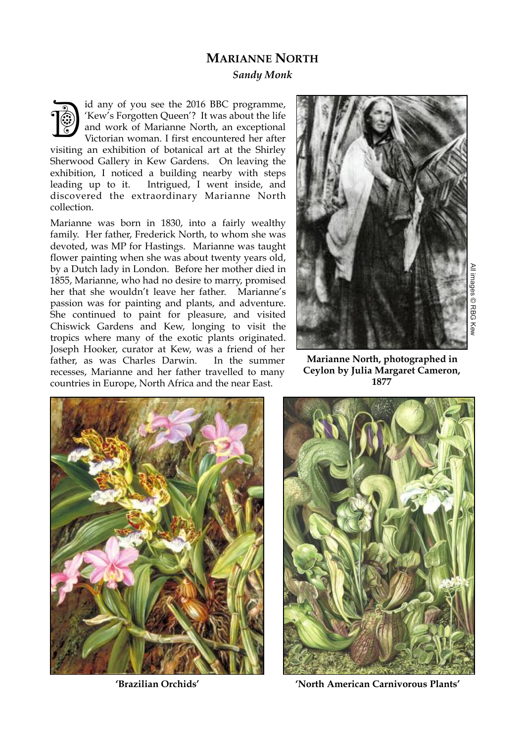## **MARIANNE NORTH**

*Sandy Monk*

id any of you see the 2016 BBC programme, 'Kew's Forgotten Queen'? It was about the life and work of Marianne North, an exceptional Victorian woman. I first encountered her after visiting an exhibition of botanical art at the Shirley Sherwood Gallery in Kew Gardens. On leaving the exhibition, I noticed a building nearby with steps leading up to it. Intrigued, I went inside, and discovered the extraordinary Marianne North collection. **Dept** 

Marianne was born in 1830, into a fairly wealthy family. Her father, Frederick North, to whom she was devoted, was MP for Hastings. Marianne was taught flower painting when she was about twenty years old, by a Dutch lady in London. Before her mother died in 1855, Marianne, who had no desire to marry, promised her that she wouldn't leave her father. Marianne's passion was for painting and plants, and adventure. She continued to paint for pleasure, and visited Chiswick Gardens and Kew, longing to visit the tropics where many of the exotic plants originated. Joseph Hooker, curator at Kew, was a friend of her father, as was Charles Darwin. In the summer recesses, Marianne and her father travelled to many countries in Europe, North Africa and the near East.



All images © RBG Kew l images © RBG Kev

**Marianne North, photographed in Ceylon by Julia Margaret Cameron, 1877**





**'Brazilian Orchids' 'North American Carnivorous Plants'**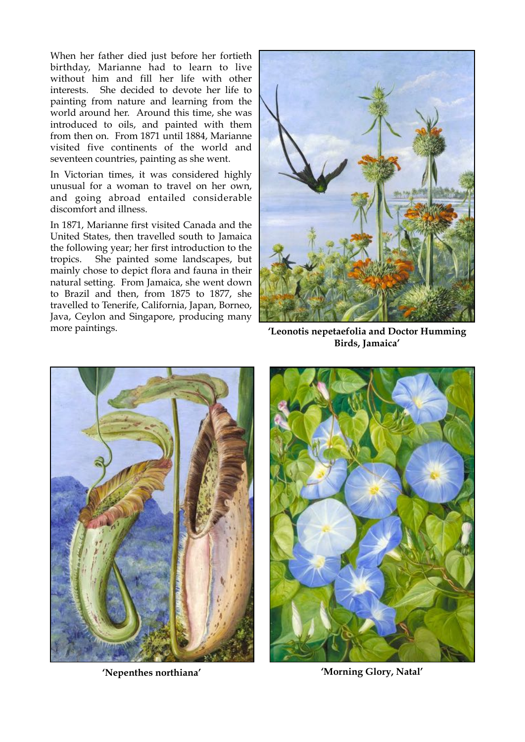When her father died just before her fortieth birthday, Marianne had to learn to live without him and fill her life with other interests. She decided to devote her life to painting from nature and learning from the world around her. Around this time, she was introduced to oils, and painted with them from then on. From 1871 until 1884, Marianne visited five continents of the world and seventeen countries, painting as she went.

In Victorian times, it was considered highly unusual for a woman to travel on her own, and going abroad entailed considerable discomfort and illness.

In 1871, Marianne first visited Canada and the United States, then travelled south to Jamaica the following year; her first introduction to the tropics. She painted some landscapes, but mainly chose to depict flora and fauna in their natural setting. From Jamaica, she went down to Brazil and then, from 1875 to 1877, she travelled to Tenerife, California, Japan, Borneo, Java, Ceylon and Singapore, producing many more paintings. **'Leonotis nepetaefolia and Doctor Humming** 



**Birds, Jamaica'**





**'Nepenthes northiana' 'Morning Glory, Natal'**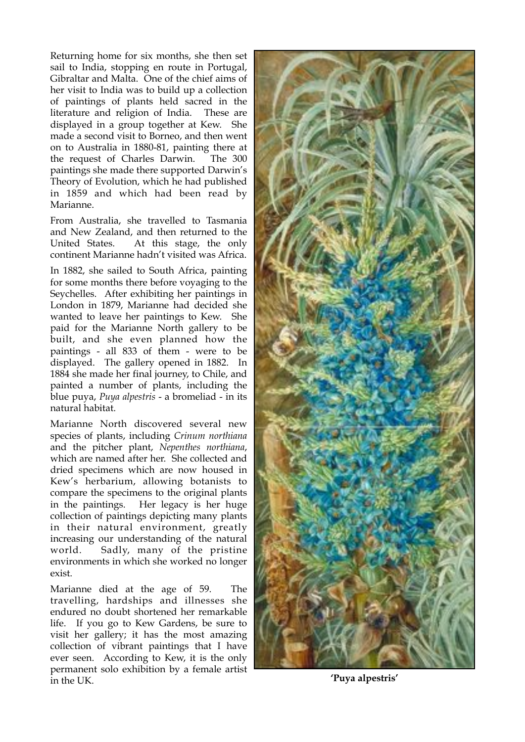Returning home for six months, she then set sail to India, stopping en route in Portugal, Gibraltar and Malta. One of the chief aims of her visit to India was to build up a collection of paintings of plants held sacred in the literature and religion of India. These are displayed in a group together at Kew. She made a second visit to Borneo, and then went on to Australia in 1880-81, painting there at the request of Charles Darwin. The 300 paintings she made there supported Darwin's Theory of Evolution, which he had published in 1859 and which had been read by Marianne.

From Australia, she travelled to Tasmania and New Zealand, and then returned to the United States. At this stage, the only continent Marianne hadn't visited was Africa.

In 1882, she sailed to South Africa, painting for some months there before voyaging to the Seychelles. After exhibiting her paintings in London in 1879, Marianne had decided she wanted to leave her paintings to Kew. She paid for the Marianne North gallery to be built, and she even planned how the paintings - all 833 of them - were to be displayed. The gallery opened in 1882. In 1884 she made her final journey, to Chile, and painted a number of plants, including the blue puya, *Puya alpestris* - a bromeliad - in its natural habitat.

Marianne North discovered several new species of plants, including *Crinum northiana* and the pitcher plant, *Nepenthes northiana*, which are named after her. She collected and dried specimens which are now housed in Kew's herbarium, allowing botanists to compare the specimens to the original plants in the paintings. Her legacy is her huge collection of paintings depicting many plants in their natural environment, greatly increasing our understanding of the natural world. Sadly, many of the pristine environments in which she worked no longer exist.

Marianne died at the age of 59. The travelling, hardships and illnesses she endured no doubt shortened her remarkable life. If you go to Kew Gardens, be sure to visit her gallery; it has the most amazing collection of vibrant paintings that I have ever seen. According to Kew, it is the only permanent solo exhibition by a female artist in the UK. **'Puya alpestris'**